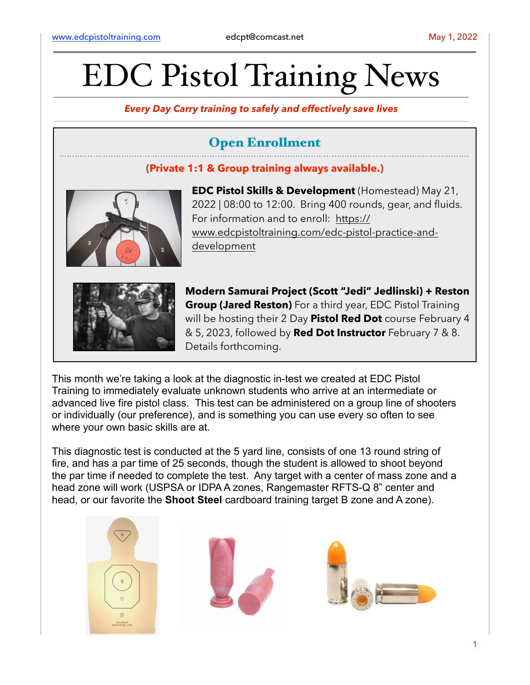# EDC Pistol Training News

*Every Day Carry training to safely and effectively save lives*

## Open Enrollment

#### **(Private 1:1 & Group training always available.)**



**EDC Pistol Skills & Development** (Homestead) May 21, 2022 | 08:00 to 12:00. Bring 400 rounds, gear, and fluids. For information and to enroll: [https://](https://www.edcpistoltraining.com/edc-pistol-practice-and-development) [www.edcpistoltraining.com/edc-pistol-practice-and](https://www.edcpistoltraining.com/edc-pistol-practice-and-development)[development](https://www.edcpistoltraining.com/edc-pistol-practice-and-development)



**Modern Samurai Project (Scott "Jedi" Jedlinski) + Reston Group (Jared Reston)** For a third year, EDC Pistol Training will be hosting their 2 Day **Pistol Red Dot** course February 4 & 5, 2023, followed by **Red Dot Instructor** February 7 & 8. Details forthcoming.

This month we're taking a look at the diagnostic in-test we created at EDC Pistol Training to immediately evaluate unknown students who arrive at an intermediate or advanced live fire pistol class. This test can be administered on a group line of shooters or individually (our preference), and is something you can use every so often to see where your own basic skills are at.

This diagnostic test is conducted at the 5 yard line, consists of one 13 round string of fire, and has a par time of 25 seconds, though the student is allowed to shoot beyond the par time if needed to complete the test. Any target with a center of mass zone and a head zone will work (USPSA or IDPA A zones, Rangemaster RFTS-Q 8" center and head, or our favorite the **Shoot Steel** cardboard training target B zone and A zone).





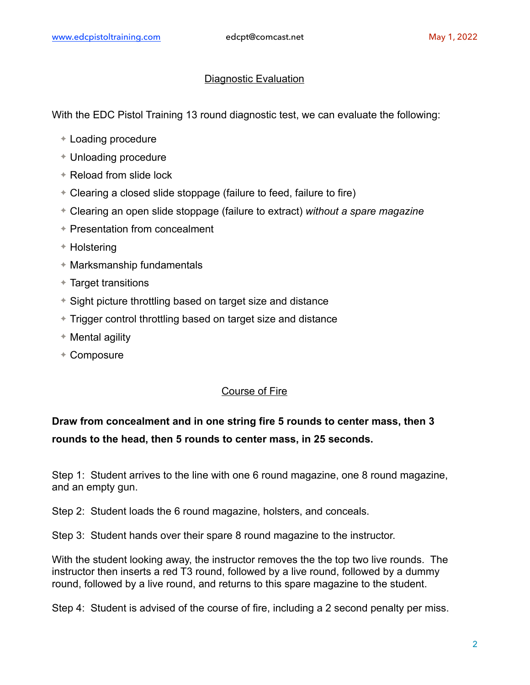#### Diagnostic Evaluation

With the EDC Pistol Training 13 round diagnostic test, we can evaluate the following:

- ✦ Loading procedure
- ✦ Unloading procedure
- ✦ Reload from slide lock
- ✦ Clearing a closed slide stoppage (failure to feed, failure to fire)
- ✦ Clearing an open slide stoppage (failure to extract) *without a spare magazine*
- ✦ Presentation from concealment
- ✦ Holstering
- ✦ Marksmanship fundamentals
- ✦ Target transitions
- ✦ Sight picture throttling based on target size and distance
- ✦ Trigger control throttling based on target size and distance
- ✦ Mental agility
- ✦ Composure

#### Course of Fire

### **Draw from concealment and in one string fire 5 rounds to center mass, then 3 rounds to the head, then 5 rounds to center mass, in 25 seconds.**

Step 1: Student arrives to the line with one 6 round magazine, one 8 round magazine, and an empty gun.

Step 2: Student loads the 6 round magazine, holsters, and conceals.

Step 3: Student hands over their spare 8 round magazine to the instructor.

With the student looking away, the instructor removes the the top two live rounds. The instructor then inserts a red T3 round, followed by a live round, followed by a dummy round, followed by a live round, and returns to this spare magazine to the student.

Step 4: Student is advised of the course of fire, including a 2 second penalty per miss.